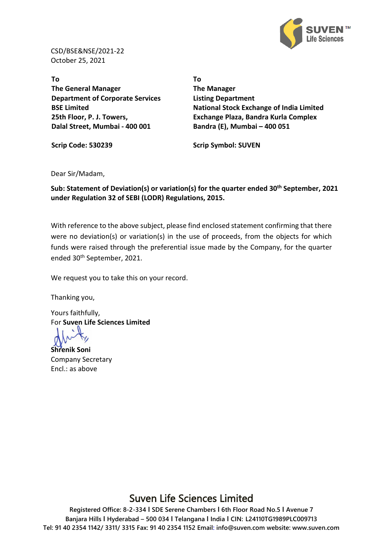

CSD/BSE&NSE/2021-22 October 25, 2021

**To The General Manager Department of Corporate Services BSE Limited 25th Floor, P. J. Towers, Dalal Street, Mumbai - 400 001**

**To The Manager Listing Department National Stock Exchange of India Limited Exchange Plaza, Bandra Kurla Complex Bandra (E), Mumbai – 400 051**

**Scrip Code: 530239 Scrip Symbol: SUVEN**

## Dear Sir/Madam,

**Sub: Statement of Deviation(s) or variation(s) for the quarter ended 30th September, 2021 under Regulation 32 of SEBI (LODR) Regulations, 2015.**

With reference to the above subject, please find enclosed statement confirming that there were no deviation(s) or variation(s) in the use of proceeds, from the objects for which funds were raised through the preferential issue made by the Company, for the quarter ended 30th September, 2021.

We request you to take this on your record.

Thanking you,

Yours faithfully, For **Suven Life Sciences Limited**

**Shrenik Soni** Company Secretary Encl.: as above

## Suven Life Sciences Limited

**Registered Office: 8-2-334 I SDE Serene Chambers I 6th Floor Road No.5 I Avenue 7 Banjara Hills I Hyderabad – 500 034 I Telangana I India I CIN: L24110TG1989PLC009713 Tel: 91 40 2354 1142/ 3311/ 3315 Fax: 91 40 2354 1152 Email: info@suven.com website: www.suven.com**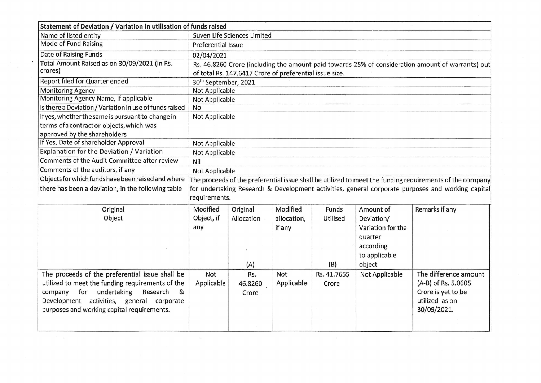| Statement of Deviation / Variation in utilisation of funds raised |                                                                                                                                                              |            |             |             |                   |                                                                                                          |
|-------------------------------------------------------------------|--------------------------------------------------------------------------------------------------------------------------------------------------------------|------------|-------------|-------------|-------------------|----------------------------------------------------------------------------------------------------------|
| Name of listed entity                                             | Suven Life Sciences Limited                                                                                                                                  |            |             |             |                   |                                                                                                          |
| <b>Mode of Fund Raising</b>                                       | <b>Preferential Issue</b>                                                                                                                                    |            |             |             |                   |                                                                                                          |
| <b>Date of Raising Funds</b>                                      | 02/04/2021                                                                                                                                                   |            |             |             |                   |                                                                                                          |
| Total Amount Raised as on 30/09/2021 (in Rs.<br>crores)           | Rs. 46.8260 Crore (including the amount paid towards 25% of consideration amount of warrants) out<br>of total Rs. 147.6417 Crore of preferential issue size. |            |             |             |                   |                                                                                                          |
| <b>Report filed for Quarter ended</b>                             | 30 <sup>th</sup> September, 2021                                                                                                                             |            |             |             |                   |                                                                                                          |
| <b>Monitoring Agency</b>                                          | <b>Not Applicable</b>                                                                                                                                        |            |             |             |                   |                                                                                                          |
| Monitoring Agency Name, if applicable                             | <b>Not Applicable</b>                                                                                                                                        |            |             |             |                   |                                                                                                          |
| Is there a Deviation / Variation in use of funds raised           | <b>No</b>                                                                                                                                                    |            |             |             |                   |                                                                                                          |
| If yes, whether the same is pursuant to change in                 | Not Applicable                                                                                                                                               |            |             |             |                   |                                                                                                          |
| terms of a contract or objects, which was                         |                                                                                                                                                              |            |             |             |                   |                                                                                                          |
| approved by the shareholders                                      |                                                                                                                                                              |            |             |             |                   |                                                                                                          |
| If Yes, Date of shareholder Approval                              | Not Applicable                                                                                                                                               |            |             |             |                   |                                                                                                          |
| <b>Explanation for the Deviation / Variation</b>                  | Not Applicable                                                                                                                                               |            |             |             |                   |                                                                                                          |
| Comments of the Audit Committee after review                      | Nil                                                                                                                                                          |            |             |             |                   |                                                                                                          |
| Comments of the auditors, if any                                  | Not Applicable                                                                                                                                               |            |             |             |                   |                                                                                                          |
| Objects for which funds have been raised and where                |                                                                                                                                                              |            |             |             |                   | The proceeds of the preferential issue shall be utilized to meet the funding requirements of the company |
| there has been a deviation, in the following table                |                                                                                                                                                              |            |             |             |                   | for undertaking Research & Development activities, general corporate purposes and working capital        |
|                                                                   | requirements.                                                                                                                                                |            |             |             |                   |                                                                                                          |
| Original                                                          | Modified                                                                                                                                                     | Original   | Modified    | Funds       | Amount of         | Remarks if any                                                                                           |
| Object                                                            | Object, if                                                                                                                                                   | Allocation | allocation, | Utilised    | Deviation/        |                                                                                                          |
|                                                                   | any                                                                                                                                                          |            | if any      |             | Variation for the |                                                                                                          |
|                                                                   |                                                                                                                                                              |            |             |             | quarter           |                                                                                                          |
|                                                                   |                                                                                                                                                              |            |             |             | according         |                                                                                                          |
|                                                                   |                                                                                                                                                              |            |             |             | to applicable     |                                                                                                          |
|                                                                   |                                                                                                                                                              | (A)        |             | (B)         | object            |                                                                                                          |
| The proceeds of the preferential issue shall be                   | Not                                                                                                                                                          | Rs.        | Not         | Rs. 41.7655 | Not Applicable    | The difference amount                                                                                    |
| utilized to meet the funding requirements of the                  | Applicable                                                                                                                                                   | 46.8260    | Applicable  | Crore       |                   | (A-B) of Rs. 5.0605                                                                                      |
| company for undertaking<br>Research<br>&                          |                                                                                                                                                              | Crore      |             |             |                   | Crore is yet to be                                                                                       |
| Development activities, general corporate                         |                                                                                                                                                              |            |             |             |                   | utilized as on                                                                                           |
| purposes and working capital requirements.                        |                                                                                                                                                              |            |             |             |                   | 30/09/2021.                                                                                              |
|                                                                   |                                                                                                                                                              |            |             |             |                   |                                                                                                          |
|                                                                   |                                                                                                                                                              |            |             |             |                   |                                                                                                          |

 $\mathcal{O}(\mathcal{A})$ 

 $\mathcal{M}_{\rm{c}}$ 

 $\frac{1}{\epsilon}$ 

 $\mathcal{L}^{\text{max}}_{\text{max}}$